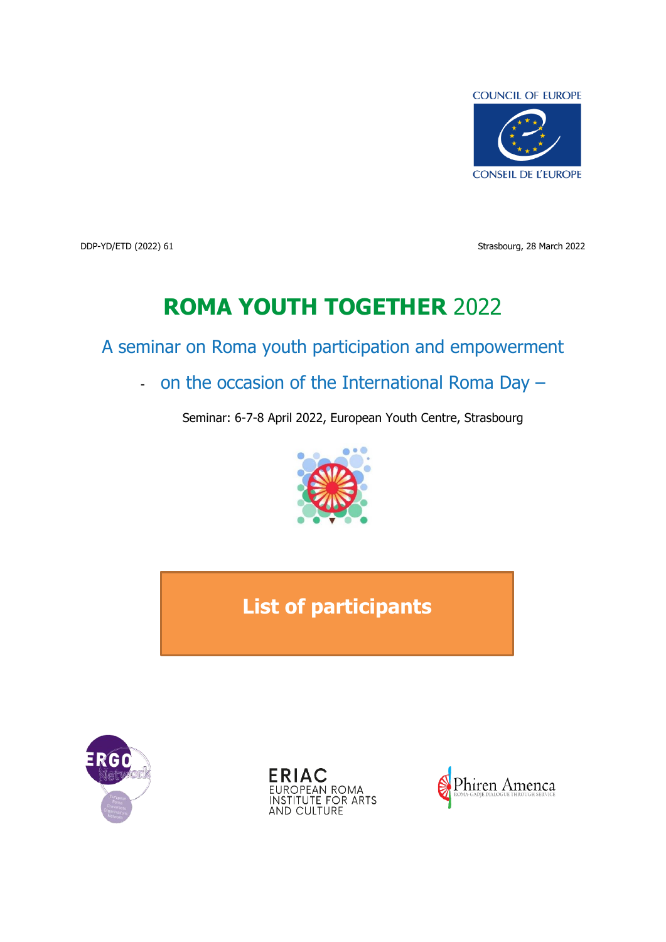

DDP-YD/ETD (2022) 61 Strasbourg, 28 March 2022

# **ROMA YOUTH TOGETHER** 2022

A seminar on Roma youth participation and empowerment

- on the occasion of the International Roma Day –

Seminar: 6-7-8 April 2022, European Youth Centre, Strasbourg



**List of participants**





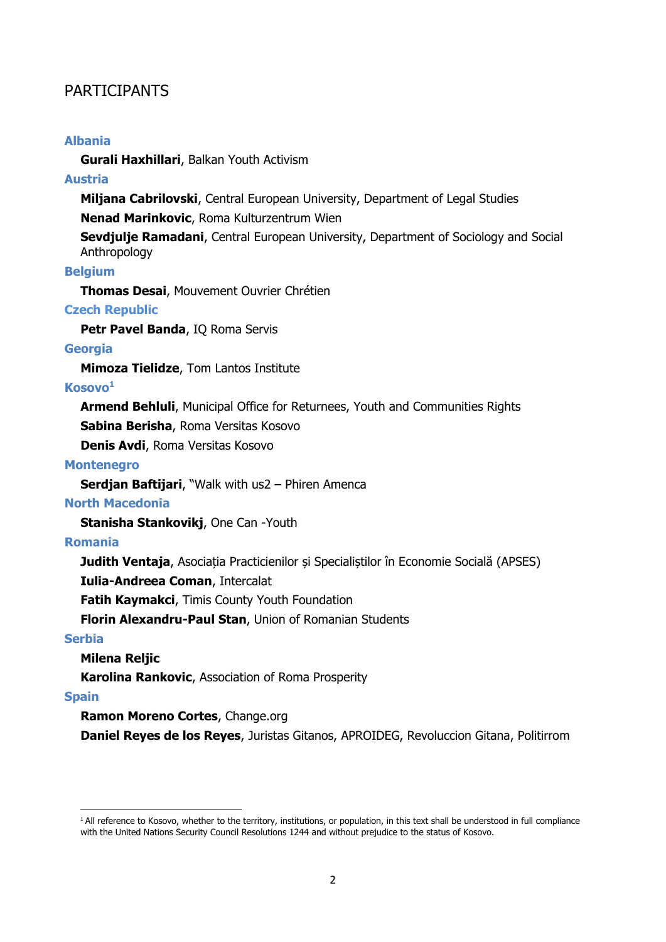# PARTICIPANTS

#### **Albania**

**Gurali Haxhillari**, Balkan Youth Activism

#### **Austria**

**Miljana Cabrilovski**, Central European University, Department of Legal Studies

**Nenad Marinkovic**, Roma Kulturzentrum Wien

**Sevdjulje Ramadani**, Central European University, Department of Sociology and Social Anthropology

# **Belgium**

**Thomas Desai**, Mouvement Ouvrier Chrétien

#### **Czech Republic**

**Petr Pavel Banda, IO Roma Servis** 

# **Georgia**

**Mimoza Tielidze**, Tom Lantos Institute

# **Kosovo<sup>1</sup>**

**Armend Behluli**, Municipal Office for Returnees, Youth and Communities Rights

**Sabina Berisha**, Roma Versitas Kosovo

**Denis Avdi**, Roma Versitas Kosovo

# **Montenegro**

**Serdjan Baftijari**, "Walk with us2 – Phiren Amenca

## **North Macedonia**

**Stanisha Stankovikj**, One Can -Youth

#### **Romania**

**Judith Ventaja**, Asociația Practicienilor și Specialiștilor în Economie Socială (APSES)

**Iulia-Andreea Coman**, Intercalat

**Fatih Kaymakci**, Timis County Youth Foundation

**Florin Alexandru-Paul Stan**, Union of Romanian Students

#### **Serbia**

## **Milena Reljic**

**Karolina Rankovic**, Association of Roma Prosperity

#### **Spain**

## **Ramon Moreno Cortes**, Change.org

**Daniel Reyes de los Reyes**, Juristas Gitanos, APROIDEG, Revoluccion Gitana, Politirrom

<sup>&</sup>lt;sup>1</sup> All reference to Kosovo, whether to the territory, institutions, or population, in this text shall be understood in full compliance with the United Nations Security Council Resolutions 1244 and without prejudice to the status of Kosovo.